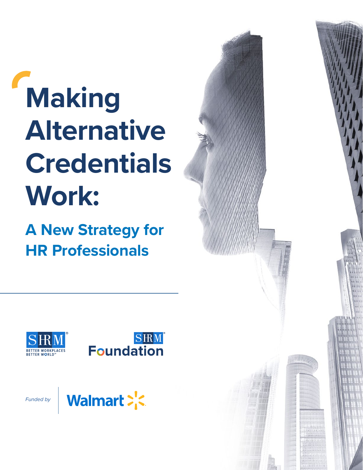# **Making Alternative Credentials Work:**

**A New Strategy for HR Professionals**







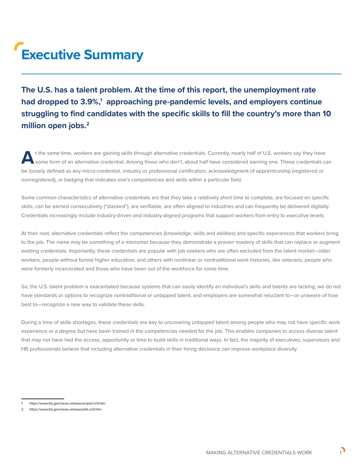# **Executive Summary**

**The U.S. has a talent problem. At the time of this report, the unemployment rate**  had dropped to 3.9%,<sup>1</sup> approaching pre-pandemic levels, and employers continue **struggling to find candidates with the specific skills to fill the country's more than 10 million open jobs.2**

t the same time, workers are gaining skills through alternative credentials. Currently, nearly half of U.S. workers say they have<br>Some form of an alternative credential. Among those who don't, about half have considered ea be loosely defined as any micro-credential, industry or professional certification, acknowledgment of apprenticeship (registered or nonregistered), or badging that indicates one's competencies and skills within a particular field.

Some common characteristics of alternative credentials are that they take a relatively short time to complete, are focused on specific skills, can be earned consecutively ("stacked"), are verifiable, are often aligned to industries and can frequently be delivered digitally. Credentials increasingly include industry-driven and industry-aligned programs that support workers from entry to executive levels.

At their root, alternative credentials reflect the competencies (knowledge, skills and abilities) and specific experiences that workers bring to the job. The name may be something of a misnomer because they demonstrate a proven mastery of skills that can replace or augment existing credentials. Importantly, these credentials are popular with job seekers who are often excluded from the talent market—older workers, people without formal higher education, and others with nonlinear or nontraditional work histories, like veterans, people who were formerly incarcerated and those who have been out of the workforce for some time.

So, the U.S. talent problem is exacerbated because systems that can easily identify an individual's skills and talents are lacking, we do not have standards or options to recognize nontraditional or untapped talent, and employers are somewhat reluctant to—or unaware of how best to—recognize a new way to validate these skills.

During a time of skills shortages, these credentials are key to uncovering untapped talent among people who may not have specific work experience or a degree but have been trained in the competencies needed for the job. This enables companies to access diverse talent that may not have had the access, opportunity or time to build skills in traditional ways. In fact, the majority of executives, supervisors and HR professionals believe that including alternative credentials in their hiring decisions can improve workplace diversity.

<sup>1</sup> https://www.bls.gov/news.release/empsit.nr0.htm

<sup>2</sup> https://www.bls.gov/news.release/jolts.nr0.htm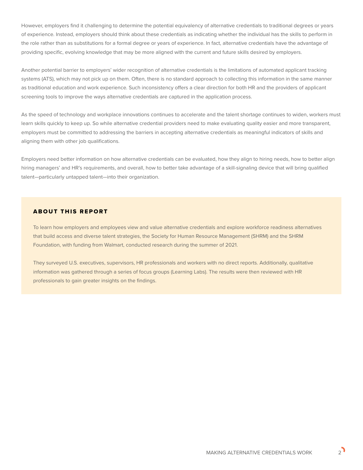However, employers find it challenging to determine the potential equivalency of alternative credentials to traditional degrees or years of experience. Instead, employers should think about these credentials as indicating whether the individual has the skills to perform in the role rather than as substitutions for a formal degree or years of experience. In fact, alternative credentials have the advantage of providing specific, evolving knowledge that may be more aligned with the current and future skills desired by employers.

Another potential barrier to employers' wider recognition of alternative credentials is the limitations of automated applicant tracking systems (ATS), which may not pick up on them. Often, there is no standard approach to collecting this information in the same manner as traditional education and work experience. Such inconsistency offers a clear direction for both HR and the providers of applicant screening tools to improve the ways alternative credentials are captured in the application process.

As the speed of technology and workplace innovations continues to accelerate and the talent shortage continues to widen, workers must learn skills quickly to keep up. So while alternative credential providers need to make evaluating quality easier and more transparent, employers must be committed to addressing the barriers in accepting alternative credentials as meaningful indicators of skills and aligning them with other job qualifications.

Employers need better information on how alternative credentials can be evaluated, how they align to hiring needs, how to better align hiring managers' and HR's requirements, and overall, how to better take advantage of a skill-signaling device that will bring qualified talent—particularly untapped talent—into their organization.

#### ABOUT THIS REPORT

To learn how employers and employees view and value alternative credentials and explore workforce readiness alternatives that build access and diverse talent strategies, the Society for Human Resource Management (SHRM) and the SHRM Foundation, with funding from Walmart, conducted research during the summer of 2021.

They surveyed U.S. executives, supervisors, HR professionals and workers with no direct reports. Additionally, qualitative information was gathered through a series of focus groups (Learning Labs). The results were then reviewed with HR professionals to gain greater insights on the findings.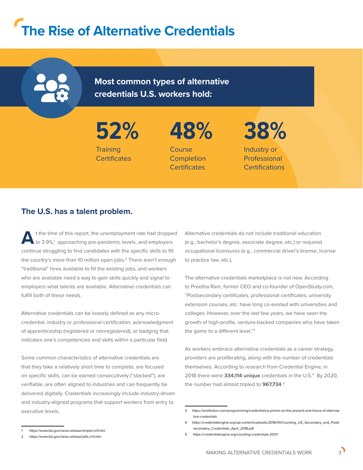# **The Rise of Alternative Credentials**

**Most common types of alternative credentials U.S. workers hold:**

**52% Training Certificates** 

**48%**  Course **Completion Certificates** 

**38%** 

Industry or Professional **Certifications** 

### **The U.S. has a talent problem.**

the time of this report, the unemployment rate had dropped to 3.9%,<sup>1</sup> approaching pre-pandemic levels, and employers continue struggling to find candidates with the specific skills to fill the country's more than 10 million open jobs.<sup>2</sup> There aren't enough "traditional" hires available to fill the existing jobs, and workers who are available need a way to gain skills quickly and signal to employers what talents are available. Alternative credentials can fulfill both of these needs.

Alternative credentials can be loosely defined as any microcredential, industry or professional certification, acknowledgment of apprenticeship (registered or nonregistered), or badging that indicates one's competencies and skills within a particular field.

Some common characteristics of alternative credentials are that they take a relatively short time to complete, are focused on specific skills, can be earned consecutively ("stacked"), are verifiable, are often aligned to industries and can frequently be delivered digitally. Credentials increasingly include industry-driven and industry-aligned programs that support workers from entry to executive levels.

Alternative credentials do not include traditional education (e.g., bachelor's degree, associate degree, etc.) or required occupational licensures (e.g., commercial driver's license, license to practice law, etc.).

The alternative credentials marketplace is not new. According to Preetha Ram, former CEO and co-founder of OpenStudy.com, "Postsecondary certificates, professional certificates, university extension courses, etc. have long co-existed with universities and colleges. However, over the last few years, we have seen the growth of high-profile, venture-backed companies who have taken the game to a different level."3

As workers embrace alternative credentials as a career strategy, providers are proliferating, along with the number of credentials themselves. According to research from Credential Engine, in 2018 there were **334,114 unique** credentials in the U.S.4 By 2020, the number had almost tripled to **967,734**. 5

<sup>3</sup> [https://evolllution.com/programming/credentials/a-primer-on-the-present-and-future-of-alterna](https://evolllution.com/programming/credentials/a-primer-on-the-present-and-future-of-alternative-cr)[tive-credentials](https://evolllution.com/programming/credentials/a-primer-on-the-present-and-future-of-alternative-cr)

<sup>4</sup> [https://credentialengine.org/wp-content/uploads/2018/04/Counting\\_US\\_Secondary\\_and\\_Post](https://credentialengine.org/wp-content/uploads/2018/04/Counting_US_Secondary_and_Postsecondary_Credentials_April_2018.pdf)[secondary\\_Credentials\\_April\\_2018.pdf](https://credentialengine.org/wp-content/uploads/2018/04/Counting_US_Secondary_and_Postsecondary_Credentials_April_2018.pdf)

<sup>5</sup> <https://credentialengine.org/counting-credentials-2021/>

<sup>1</sup> <https://www.bls.gov/news.release/empsit.nr0.htm>

<sup>2</sup> <https://www.bls.gov/news.release/jolts.nr0.htm>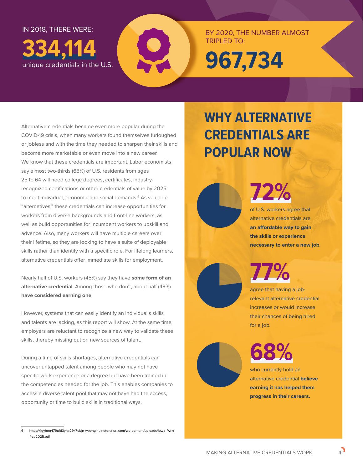IN 2018, THERE WERE:

**334,114**  unique credentials in the U.S. BY 2020, THE NUMBER ALMOST TRIPLED TO:

**967,734**

Alternative credentials became even more popular during the COVID-19 crisis, when many workers found themselves furloughed or jobless and with the time they needed to sharpen their skills and become more marketable or even move into a new career. We know that these credentials are important. Labor economists say almost two-thirds (65%) of U.S. residents from ages 25 to 64 will need college degrees, certificates, industryrecognized certifications or other credentials of value by 2025 to meet individual, economic and social demands.<sup>6</sup> As valuable "alternatives," these credentials can increase opportunities for workers from diverse backgrounds and front-line workers, as well as build opportunities for incumbent workers to upskill and advance. Also, many workers will have multiple careers over their lifetime, so they are looking to have a suite of deployable skills rather than identify with a specific role. For lifelong learners, alternative credentials offer immediate skills for employment.

Nearly half of U.S. workers (45%) say they have **some form of an alternative credential**. Among those who don't, about half (49%) **have considered earning one**.

However, systems that can easily identify an individual's skills and talents are lacking, as this report will show. At the same time, employers are reluctant to recognize a new way to validate these skills, thereby missing out on new sources of talent.

During a time of skills shortages, alternative credentials can uncover untapped talent among people who may not have specific work experience or a degree but have been trained in the competencies needed for the job. This enables companies to access a diverse talent pool that may not have had the access, opportunity or time to build skills in traditional ways.

# **WHY ALTERNATIVE CREDENTIALS ARE POPULAR NOW**

**72%** of U.S. workers agree that

alternative credentials are **an affordable way to gain the skills or experience necessary to enter a new job**.

# **77%**

agree that having a jobrelevant alternative credential increases or would increase their chances of being hired for a job.



who currently hold an alternative credential **believe earning it has helped them progress in their careers.** 

<sup>6</sup> [https://1gyhoq479ufd3yna29x7ubjn-wpengine.netdna-ssl.com/wp-content/uploads/Iowa\\_Wrkr](https://1gyhoq479ufd3yna29x7ubjn-wpengine.netdna-ssl.com/wp-content/uploads/Iowa_Wrkfrce2025.pdf)[frce2025.pdf](https://1gyhoq479ufd3yna29x7ubjn-wpengine.netdna-ssl.com/wp-content/uploads/Iowa_Wrkfrce2025.pdf)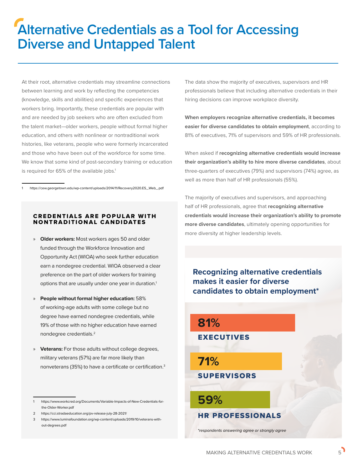# **Alternative Credentials as a Tool for Accessing Diverse and Untapped Talent**

At their root, alternative credentials may streamline connections between learning and work by reflecting the competencies (knowledge, skills and abilities) and specific experiences that workers bring. Importantly, these credentials are popular with and are needed by job seekers who are often excluded from the talent market—older workers, people without formal higher education, and others with nonlinear or nontraditional work histories, like veterans, people who were formerly incarcerated and those who have been out of the workforce for some time. We know that some kind of post-secondary training or education is required for 65% of the available jobs.<sup>1</sup>

1 https://cew.georgetown.edu/wp-content/uploads/2014/11/Recovery2020.ES\_.Web\_.pdf

#### **CREDENTIALS ARE POPULAR WITH** NONTRADITIONAL CANDIDATES

- » **Older workers:** Most workers ages 50 and older funded through the Workforce Innovation and Opportunity Act (WIOA) who seek further education earn a nondegree credential. WIOA observed a clear preference on the part of older workers for training options that are usually under one year in duration.<sup>1</sup>
- » **People without formal higher education:** 58% of working-age adults with some college but no degree have earned nondegree credentials, while 19% of those with no higher education have earned nondegree credentials.2
- » **Veterans:** For those adults without college degrees, military veterans (57%) are far more likely than nonveterans (35%) to have a certificate or certification.3

1 https://www.workcred.org/Documents/Variable-Impacts-of-New-Credentials-forthe-Older-Worker.pdf

The data show the majority of executives, supervisors and HR professionals believe that including alternative credentials in their hiring decisions can improve workplace diversity.

**When employers recognize alternative credentials, it becomes easier for diverse candidates to obtain employment**, according to 81% of executives, 71% of supervisors and 59% of HR professionals.

When asked if **recognizing alternative credentials would increase their organization's ability to hire more diverse candidates**, about three-quarters of executives (79%) and supervisors (74%) agree, as well as more than half of HR professionals (55%).

The majority of executives and supervisors, and approaching half of HR professionals, agree that **recognizing alternative credentials would increase their organization's ability to promote more diverse candidates**, ultimately opening opportunities for more diversity at higher leadership levels.

**Recognizing alternative credentials makes it easier for diverse candidates to obtain employment\***



<sup>2</sup> https://cci.stradaeducation.org/pv-release-july-28-2021/

<sup>3</sup> https://www.luminafoundation.org/wp-content/uploads/2019/10/veterans-without-degrees.pdf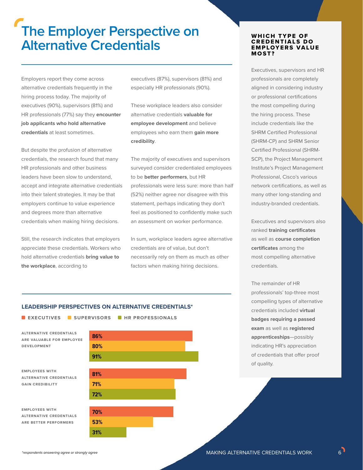## **The Employer Perspective on Alternative Credentials**

Employers report they come across alternative credentials frequently in the hiring process today. The majority of executives (90%), supervisors (81%) and HR professionals (77%) say they **encounter job applicants who hold alternative credentials** at least sometimes.

But despite the profusion of alternative credentials, the research found that many HR professionals and other business leaders have been slow to understand, accept and integrate alternative credentials into their talent strategies. It may be that employers continue to value experience and degrees more than alternative credentials when making hiring decisions.

Still, the research indicates that employers appreciate these credentials. Workers who hold alternative credentials **bring value to the workplace**, according to

executives (87%), supervisors (81%) and especially HR professionals (90%).

These workplace leaders also consider alternative credentials **valuable for employee development** and believe employees who earn them **gain more credibility**.

The majority of executives and supervisors surveyed consider credentialed employees to be **better performers**, but HR professionals were less sure: more than half (52%) neither agree nor disagree with this statement, perhaps indicating they don't feel as positioned to confidently make such an assessment on worker performance.

In sum, workplace leaders agree alternative credentials are of value, but don't necessarily rely on them as much as other factors when making hiring decisions.

#### WHICH TYPE OF **CREDENTIALS DO EMPLOYERS VALUE** MOST?

Executives, supervisors and HR professionals are completely aligned in considering industry or professional certifications the most compelling during the hiring process. These include credentials like the SHRM Certified Professional (SHRM-CP) and SHRM Senior Certified Professional (SHRM-SCP), the Project Management Institute's Project Management Professional, Cisco's various network certifications, as well as many other long-standing and industry-branded credentials.

Executives and supervisors also ranked **training certificates**  as well as **course completion certificates** among the most compelling alternative credentials.

The remainder of HR professionals' top-three most compelling types of alternative credentials included **virtual badges requiring a passed exam** as well as **registered apprenticeships**—possibly indicating HR's appreciation of credentials that offer proof of quality.

#### **LEADERSHIP PERSPECTIVES ON ALTERNATIVE CREDENTIALS\***

| <b>EXECUTIVES SUPERVISORS FIR PROFESSIONALS</b>                                    |            |  |  |
|------------------------------------------------------------------------------------|------------|--|--|
| <b>ALTERNATIVE CREDENTIALS</b><br>ARE VALUABLE FOR EMPLOYEE<br><b>DEVELOPMENT</b>  | 86%<br>80% |  |  |
|                                                                                    | 91%        |  |  |
| <b>EMPLOYEES WITH</b><br><b>ALTERNATIVE CREDENTIALS</b><br><b>GAIN CREDIBILITY</b> | 81%        |  |  |
|                                                                                    | 71%<br>72% |  |  |
| <b>EMPLOYEES WITH</b>                                                              | 70%        |  |  |
| <b>ALTERNATIVE CREDENTIALS</b><br>ARE BETTER PERFORMERS                            | 53%        |  |  |
|                                                                                    | 31%        |  |  |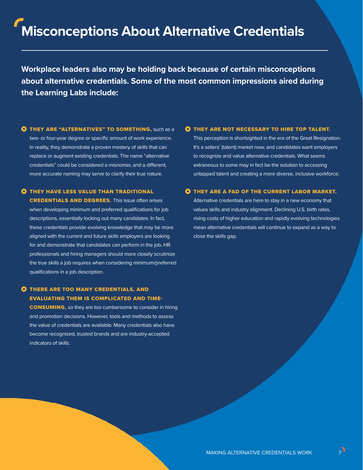# **Misconceptions About Alternative Credentials**

**Workplace leaders also may be holding back because of certain misconceptions about alternative credentials. Some of the most common impressions aired during the Learning Labs include:**

**O THEY ARE "ALTERNATIVES" TO SOMETHING, Such as a** two- or four-year degree or specific amount of work experience. In reality, they demonstrate a proven mastery of skills that can replace or augment existing credentials. The name "alternative credentials" could be considered a misnomer, and a different, more accurate naming may serve to clarify their true nature.

#### **O** THEY HAVE LESS VALUE THAN TRADITIONAL

CREDENTIALS AND DEGREES. This issue often arises when developing minimum and preferred qualifications for job descriptions, essentially locking out many candidates. In fact, these credentials provide evolving knowledge that may be more aligned with the current and future skills employers are looking for and demonstrate that candidates can perform in the job. HR professionals and hiring managers should more closely scrutinize the true skills a job requires when considering minimum/preferred qualifications in a job description.

#### **O** THERE ARE TOO MANY CREDENTIALS, AND EVALUATING THEM IS COMPLICATED AND TIME-

CONSUMING, so they are too cumbersome to consider in hiring and promotion decisions. However, tools and methods to assess the value of credentials are available. Many credentials also have become recognized, trusted brands and are industry-accepted indicators of skills.

#### **O** THEY ARE NOT NECESSARY TO HIRE TOP TALENT.

This perception is shortsighted in the era of the Great Resignation. It's a sellers' (talent) market now, and candidates want employers to recognize and value alternative credentials. What seems extraneous to some may in fact be the solution to accessing untapped talent and creating a more diverse, inclusive workforce.

#### **O** THEY ARE A FAD OF THE CURRENT LABOR MARKET.

Alternative credentials are here to stay in a new economy that values skills and industry alignment. Declining U.S. birth rates, rising costs of higher education and rapidly evolving technologies mean alternative credentials will continue to expand as a way to close the skills gap.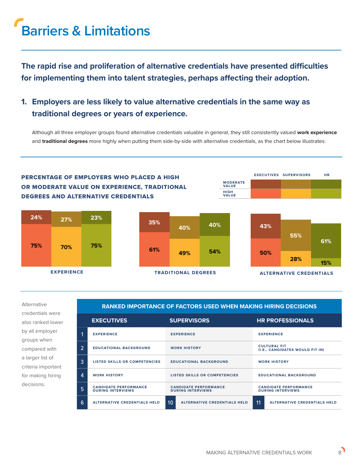# **Barriers & Limitations**

**The rapid rise and proliferation of alternative credentials have presented difficulties for implementing them into talent strategies, perhaps affecting their adoption.**

### **1. Employers are less likely to value alternative credentials in the same way as traditional degrees or years of experience.**

Although all three employer groups found alternative credentials valuable in general, they still consistently valued **work experience** and **traditional degrees** more highly when putting them side-by-side with alternative credentials, as the chart below illustrates:



Alternative credentials were also ranked lower by all employer groups when compared with a larger list of criteria important for making hiring decisions.

#### **RANKED IMPORTANCE OF FACTORS USED WHEN MAKING HIRING DECISIONS**

|                | <b>EXECUTIVES</b>                                        | <b>SUPERVISORS</b>                                       | <b>HR PROFESSIONALS</b>                                  |  |
|----------------|----------------------------------------------------------|----------------------------------------------------------|----------------------------------------------------------|--|
|                | <b>EXPERIENCE</b>                                        | <b>EXPERIENCE</b>                                        | <b>EXPERIENCE</b>                                        |  |
| $\overline{2}$ | <b>EDUCATIONAL BACKGROUND</b>                            | <b>WORK HISTORY</b>                                      | <b>CULTURAL FIT</b><br>(I.E., CANDIDATES WOULD FIT IN)   |  |
| 3              | LISTED SKILLS OR COMPETENCIES                            | <b>EDUCATIONAL BACKGROUND</b>                            | <b>WORK HISTORY</b>                                      |  |
| 4              | <b>WORK HISTORY</b>                                      | LISTED SKILLS OR COMPETENCIES                            | <b>EDUCATIONAL BACKGROUND</b>                            |  |
| 5              | <b>CANDIDATE PERFORMANCE</b><br><b>DURING INTERVIEWS</b> | <b>CANDIDATE PERFORMANCE</b><br><b>DURING INTERVIEWS</b> | <b>CANDIDATE PERFORMANCE</b><br><b>DURING INTERVIEWS</b> |  |
| 6              | <b>ALTERNATIVE CREDENTIALS HELD</b>                      | 10<br><b>ALTERNATIVE CREDENTIALS HELD</b>                | 11<br><b>ALTERNATIVE CREDENTIALS HELD</b>                |  |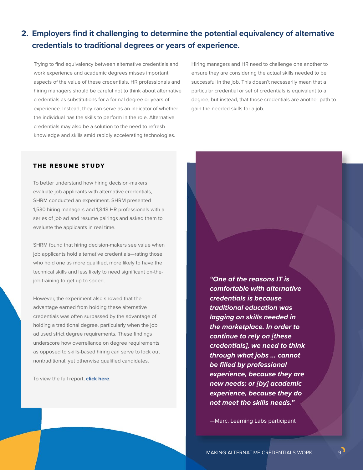### **2. Employers find it challenging to determine the potential equivalency of alternative credentials to traditional degrees or years of experience.**

Trying to find equivalency between alternative credentials and work experience and academic degrees misses important aspects of the value of these credentials. HR professionals and hiring managers should be careful not to think about alternative credentials as substitutions for a formal degree or years of experience. Instead, they can serve as an indicator of whether the individual has the skills to perform in the role. Alternative credentials may also be a solution to the need to refresh knowledge and skills amid rapidly accelerating technologies.

Hiring managers and HR need to challenge one another to ensure they are considering the actual skills needed to be successful in the job. This doesn't necessarily mean that a particular credential or set of credentials is equivalent to a degree, but instead, that those credentials are another path to gain the needed skills for a job.

#### THE RESUME STUDY

To better understand how hiring decision-makers evaluate job applicants with alternative credentials, SHRM conducted an experiment. SHRM presented 1,530 hiring managers and 1,848 HR professionals with a series of job ad and resume pairings and asked them to evaluate the applicants in real time.

SHRM found that hiring decision-makers see value when job applicants hold alternative credentials—rating those who hold one as more qualified, more likely to have the technical skills and less likely to need significant on-thejob training to get up to speed.

However, the experiment also showed that the advantage earned from holding these alternative credentials was often surpassed by the advantage of holding a traditional degree, particularly when the job ad used strict degree requirements. These findings underscore how overreliance on degree requirements as opposed to skills-based hiring can serve to lock out nontraditional, yet otherwise qualified candidates.

To view the full report, **[click here](https://shrm.org/hr-today/trends-and-forecasting/research-and-surveys/Documents/SHRM%20Alternative%20Credentials%20Experiment%20Findings%20Report.pdf)**.

*"One of the reasons IT is comfortable with alternative credentials is because traditional education was lagging on skills needed in the marketplace. In order to continue to rely on [these credentials], we need to think through what jobs … cannot be filled by professional experience, because they are new needs; or [by] academic experience, because they do not meet the skills needs."* 

—Marc, Learning Labs participant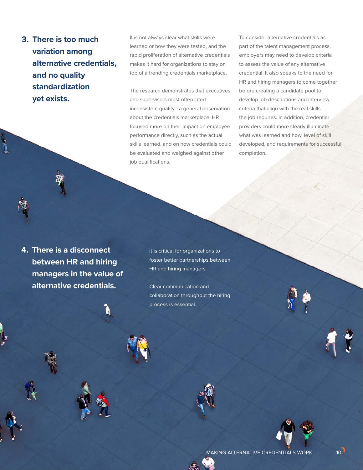**3. There is too much variation among alternative credentials, and no quality standardization yet exists.** 

It is not always clear what skills were learned or how they were tested, and the rapid proliferation of alternative credentials makes it hard for organizations to stay on top of a trending credentials marketplace.

The research demonstrates that executives and supervisors most often cited inconsistent quality—a general observation about the credentials marketplace. HR focused more on their impact on employee performance directly, such as the actual skills learned, and on how credentials could be evaluated and weighed against other job qualifications.

To consider alternative credentials as part of the talent management process, employers may need to develop criteria to assess the value of any alternative credential. It also speaks to the need for HR and hiring managers to come together before creating a candidate pool to develop job descriptions and interview criteria that align with the real skills the job requires. In addition, credential providers could more clearly illuminate what was learned and how, level of skill developed, and requirements for successful completion.

**4. There is a disconnect between HR and hiring managers in the value of alternative credentials.** 

It is critical for organizations to foster better partnerships between HR and hiring managers.

Clear communication and collaboration throughout the hiring process is essential.

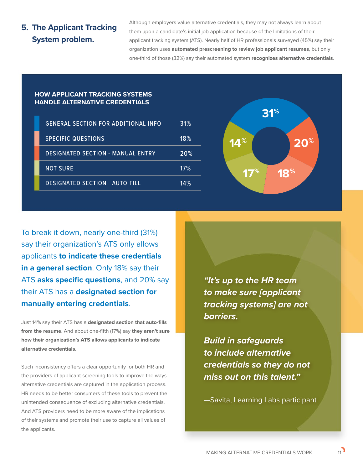### **5. The Applicant Tracking System problem.**

Although employers value alternative credentials, they may not always learn about them upon a candidate's initial job application because of the limitations of their applicant tracking system (ATS). Nearly half of HR professionals surveyed (45%) say their organization uses **automated prescreening to review job applicant resumes**, but only one-third of those (32%) say their automated system **recognizes alternative credentials**.

#### **HOW APPLICANT TRACKING SYSTEMS HANDLE ALTERNATIVE CREDENTIALS**

| <b>GENERAL SECTION FOR ADDITIONAL INFO</b> | 31%        |
|--------------------------------------------|------------|
| <b>SPECIFIC QUESTIONS</b>                  | 18%        |
| <b>DESIGNATED SECTION - MANUAL ENTRY</b>   | <b>20%</b> |
| <b>NOT SURE</b>                            | 17%        |
| <b>DESIGNATED SECTION - AUTO-FILL</b>      | 14%        |



To break it down, nearly one-third (31%) say their organization's ATS only allows applicants **to indicate these credentials in a general section**. Only 18% say their ATS **asks specific questions**, and 20% say their ATS has a **designated section for manually entering credentials**.

Just 14% say their ATS has a **designated section that auto-fills from the resume**. And about one-fifth (17%) say **they aren't sure how their organization's ATS allows applicants to indicate alternative credentials**.

Such inconsistency offers a clear opportunity for both HR and the providers of applicant-screening tools to improve the ways alternative credentials are captured in the application process. HR needs to be better consumers of these tools to prevent the unintended consequence of excluding alternative credentials. And ATS providers need to be more aware of the implications of their systems and promote their use to capture all values of the applicants.

*"It's up to the HR team to make sure [applicant tracking systems] are not barriers.* 

*Build in safeguards to include alternative credentials so they do not miss out on this talent."* 

—Savita, Learning Labs participant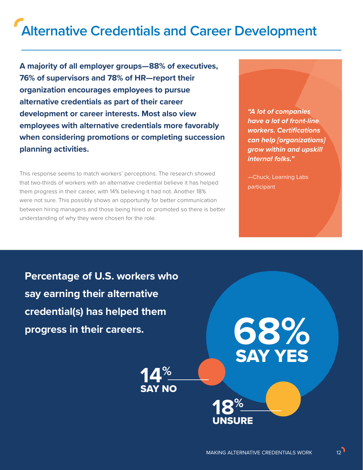# **Alternative Credentials and Career Development**

**A majority of all employer groups—88% of executives, 76% of supervisors and 78% of HR—report their organization encourages employees to pursue alternative credentials as part of their career development or career interests. Most also view employees with alternative credentials more favorably when considering promotions or completing succession planning activities.**

This response seems to match workers' perceptions. The research showed that two-thirds of workers with an alternative credential believe it has helped them progress in their career, with 14% believing it had not. Another 18% were not sure. This possibly shows an opportunity for better communication between hiring managers and those being hired or promoted so there is better understanding of why they were chosen for the role.

*"A lot of companies have a lot of front-line workers. Certifications can help [organizations] grow within and upskill internal folks."*

—Chuck, Learning Labs participant

**68%**

SAY YES

**Percentage of U.S. workers who say earning their alternative credential(s) has helped them progress in their careers.**

> **14%** SAY NO



**18%**

UNSURE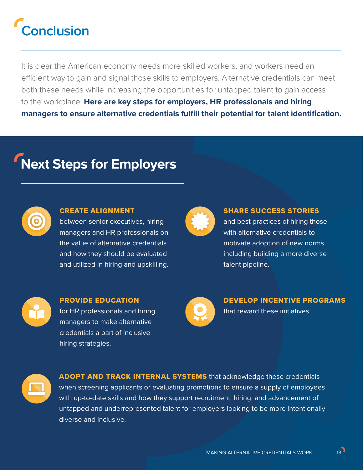# **Conclusion**

It is clear the American economy needs more skilled workers, and workers need an efficient way to gain and signal those skills to employers. Alternative credentials can meet both these needs while increasing the opportunities for untapped talent to gain access to the workplace. **Here are key steps for employers, HR professionals and hiring managers to ensure alternative credentials fulfill their potential for talent identification.** 

# **Next Steps for Employers**



### CREATE ALIGNMENT

between senior executives, hiring managers and HR professionals on the value of alternative credentials and how they should be evaluated and utilized in hiring and upskilling.



### SHARE SUCCESS STORIES

and best practices of hiring those with alternative credentials to motivate adoption of new norms, including building a more diverse talent pipeline.



### PROVIDE EDUCATION for HR professionals and hiring managers to make alternative credentials a part of inclusive hiring strategies.



DEVELOP INCENTIVE PROGRAMS

that reward these initiatives.



**ADOPT AND TRACK INTERNAL SYSTEMS** that acknowledge these credentials when screening applicants or evaluating promotions to ensure a supply of employees with up-to-date skills and how they support recruitment, hiring, and advancement of untapped and underrepresented talent for employers looking to be more intentionally diverse and inclusive.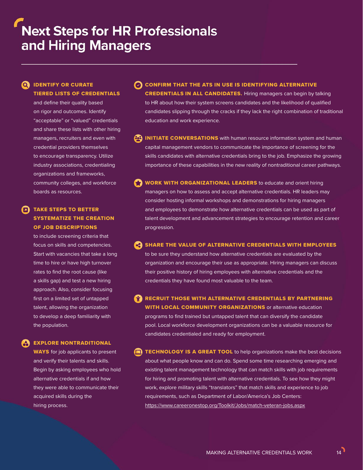#### **Q IDENTIFY OR CURATE** TIERED LISTS OF CREDENTIALS

and define their quality based on rigor and outcomes. Identify "acceptable" or "valued" credentials and share these lists with other hiring managers, recruiters and even with credential providers themselves to encourage transparency. Utilize industry associations, credentialing organizations and frameworks, community colleges, and workforce boards as resources.

### **TAKE STEPS TO BETTER** SYSTEMATIZE THE CREATION OF JOB DESCRIPTIONS

to include screening criteria that focus on skills and competencies. Start with vacancies that take a long time to hire or have high turnover rates to find the root cause (like a skills gap) and test a new hiring approach. Also, consider focusing first on a limited set of untapped talent, allowing the organization to develop a deep familiarity with the population.

#### EXPLORE NONTRADITIONAL

**WAYS** for job applicants to present and verify their talents and skills. Begin by asking employees who hold alternative credentials if and how they were able to communicate their acquired skills during the hiring process.

- CONFIRM THAT THE ATS IN USE IS IDENTIFYING ALTERNATIVE CREDENTIALS IN ALL CANDIDATES. Hiring managers can begin by talking to HR about how their system screens candidates and the likelihood of qualified candidates slipping through the cracks if they lack the right combination of traditional education and work experience.
- **43 INITIATE CONVERSATIONS** with human resource information system and human capital management vendors to communicate the importance of screening for the skills candidates with alternative credentials bring to the job. Emphasize the growing importance of these capabilities in the new reality of nontraditional career pathways.
- WORK WITH ORGANIZATIONAL LEADERS to educate and orient hiring managers on how to assess and accept alternative credentials. HR leaders may consider hosting informal workshops and demonstrations for hiring managers and employees to demonstrate how alternative credentials can be used as part of talent development and advancement strategies to encourage retention and career progression.
- **C** SHARE THE VALUE OF ALTERNATIVE CREDENTIALS WITH EMPLOYEES

to be sure they understand how alternative credentials are evaluated by the organization and encourage their use as appropriate. Hiring managers can discuss their positive history of hiring employees with alternative credentials and the credentials they have found most valuable to the team.

**RECRUIT THOSE WITH ALTERNATIVE CREDENTIALS BY PARTNERING** WITH LOCAL COMMUNITY ORGANIZATIONS or alternative education programs to find trained but untapped talent that can diversify the candidate pool. Local workforce development organizations can be a valuable resource for candidates credentialed and ready for employment.

**TECHNOLOGY IS A GREAT TOOL** to help organizations make the best decisions about what people know and can do. Spend some time researching emerging and existing talent management technology that can match skills with job requirements for hiring and promoting talent with alternative credentials. To see how they might work, explore military skills "translators" that match skills and experience to job requirements, such as Department of Labor/America's Job Centers: <https://www.careeronestop.org/Toolkit/Jobs/match-veteran-jobs.aspx>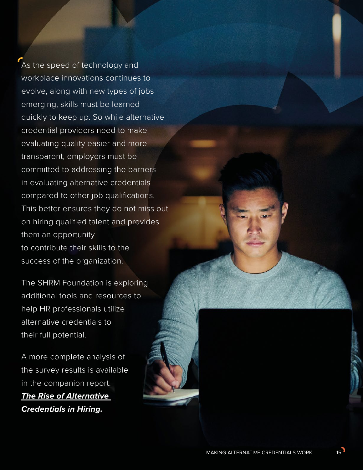As the speed of technology and workplace innovations continues to evolve, along with new types of jobs emerging, skills must be learned quickly to keep up. So while alternative credential providers need to make evaluating quality easier and more transparent, employers must be committed to addressing the barriers in evaluating alternative credentials compared to other job qualifications. This better ensures they do not miss out on hiring qualified talent and provides them an opportunity to contribute their skills to the success of the organization.

The SHRM Foundation is exploring additional tools and resources to help HR professionals utilize alternative credentials to their full potential.

A more complete analysis of the survey results is available in the companion report: *[The Rise of Alternative](https://shrm.org/foundation/about/Documents/The%20Rise%20Of%20Alternative%20Credentials%20In%20Hiring.pdf)  [Credentials in Hiring.](https://shrm.org/foundation/about/Documents/The%20Rise%20Of%20Alternative%20Credentials%20In%20Hiring.pdf)*

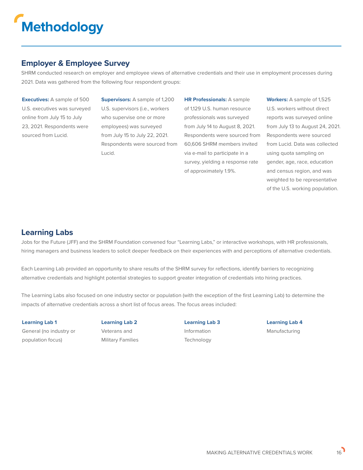

### **Employer & Employee Survey**

SHRM conducted research on employer and employee views of alternative credentials and their use in employment processes during 2021. Data was gathered from the following four respondent groups:

**Executives:** A sample of 500 U.S. executives was surveyed online from July 15 to July 23, 2021. Respondents were sourced from Lucid.

**Supervisors:** A sample of 1,200 U.S. supervisors (i.e., workers who supervise one or more employees) was surveyed from July 15 to July 22, 2021. Respondents were sourced from Lucid.

**HR Professionals:** A sample of 1,129 U.S. human resource professionals was surveyed from July 14 to August 8, 2021. Respondents were sourced from 60,606 SHRM members invited via e-mail to participate in a survey, yielding a response rate of approximately 1.9%.

**Workers:** A sample of 1,525 U.S. workers without direct reports was surveyed online from July 13 to August 24, 2021. Respondents were sourced from Lucid. Data was collected using quota sampling on gender, age, race, education and census region, and was weighted to be representative of the U.S. working population.

### **Learning Labs**

Jobs for the Future (JFF) and the SHRM Foundation convened four "Learning Labs," or interactive workshops, with HR professionals, hiring managers and business leaders to solicit deeper feedback on their experiences with and perceptions of alternative credentials.

Each Learning Lab provided an opportunity to share results of the SHRM survey for reflections, identify barriers to recognizing alternative credentials and highlight potential strategies to support greater integration of credentials into hiring practices.

The Learning Labs also focused on one industry sector or population (with the exception of the first Learning Lab) to determine the impacts of alternative credentials across a short list of focus areas. The focus areas included:

**Learning Lab 1** General (no industry or population focus)

**Learning Lab 2** Veterans and Military Families

**Learning Lab 3** Information **Technology** 

**Learning Lab 4** Manufacturing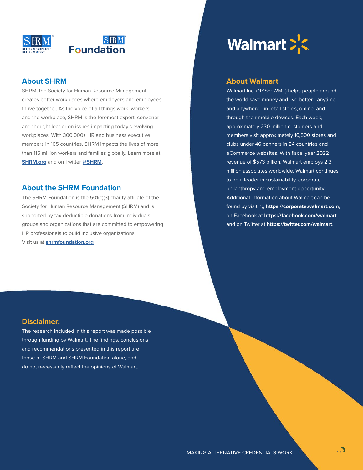

### **About SHRM**

SHRM, the Society for Human Resource Management, creates better workplaces where employers and employees thrive together. As the voice of all things work, workers and the workplace, SHRM is the foremost expert, convener and thought leader on issues impacting today's evolving workplaces. With 300,000+ HR and business executive members in 165 countries, SHRM impacts the lives of more than 115 million workers and families globally. Learn more at **[SHRM.org](https://www.SHRM.org)** and on Twitter **[@SHRM](http://twitter.com/SHRM)**.

#### **About the SHRM Foundation**

The SHRM Foundation is the 501(c)(3) charity affiliate of the Society for Human Resource Management (SHRM) and is supported by tax-deductible donations from individuals, groups and organizations that are committed to empowering HR professionals to build inclusive organizations. Visit us at **[shrmfoundation.org](http://shrmfoundation.org)**



#### **About Walmart**

Walmart Inc. (NYSE: WMT) helps people around the world save money and live better - anytime and anywhere - in retail stores, online, and through their mobile devices. Each week, approximately 230 million customers and members visit approximately 10,500 stores and clubs under 46 banners in 24 countries and eCommerce websites. With fiscal year 2022 revenue of \$573 billion, Walmart employs 2.3 million associates worldwide. Walmart continues to be a leader in sustainability, corporate philanthropy and employment opportunity. Additional information about Walmart can be found by visiting **<https://corporate.walmart.com>**, on Facebook at **<https://facebook.com/walmart>** and on Twitter at **<https://twitter.com/walmart>**.

#### **Disclaimer:**

The research included in this report was made possible through funding by Walmart. The findings, conclusions and recommendations presented in this report are those of SHRM and SHRM Foundation alone, and do not necessarily reflect the opinions of Walmart.